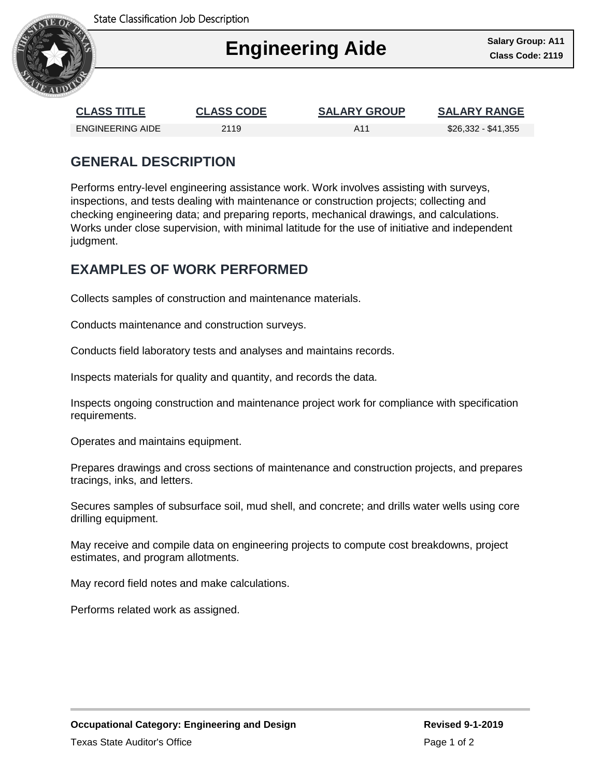

## I **Engineering Aide Class Code: 2119**

| <b>CLASS TITLE</b> | <b>CLASS CODE</b> | <b>SALARY GROUP</b> | <b>SALARY RANGE</b> |
|--------------------|-------------------|---------------------|---------------------|
| ENGINEERING AIDE   | 2119              | A11                 | \$26,332 - \$41,355 |

## **GENERAL DESCRIPTION**

Performs entry-level engineering assistance work. Work involves assisting with surveys, inspections, and tests dealing with maintenance or construction projects; collecting and checking engineering data; and preparing reports, mechanical drawings, and calculations. Works under close supervision, with minimal latitude for the use of initiative and independent judgment.

## **EXAMPLES OF WORK PERFORMED**

Collects samples of construction and maintenance materials.

Conducts maintenance and construction surveys.

Conducts field laboratory tests and analyses and maintains records.

Inspects materials for quality and quantity, and records the data.

Inspects ongoing construction and maintenance project work for compliance with specification requirements.

Operates and maintains equipment.

Prepares drawings and cross sections of maintenance and construction projects, and prepares tracings, inks, and letters.

Secures samples of subsurface soil, mud shell, and concrete; and drills water wells using core drilling equipment.

May receive and compile data on engineering projects to compute cost breakdowns, project estimates, and program allotments.

May record field notes and make calculations.

Performs related work as assigned.